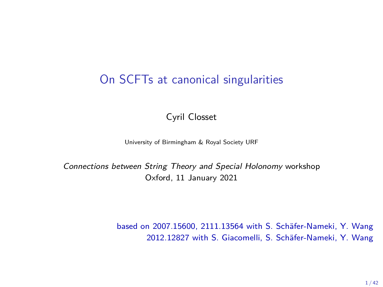## On SCFTs at canonical singularities

Cyril Closset

University of Birmingham & Royal Society URF

Connections between String Theory and Special Holonomy workshop Oxford, 11 January 2021

> based on 2007.15600, 2111.13564 with S. Schäfer-Nameki, Y. Wang 2012.12827 with S. Giacomelli, S. Schäfer-Nameki, Y. Wang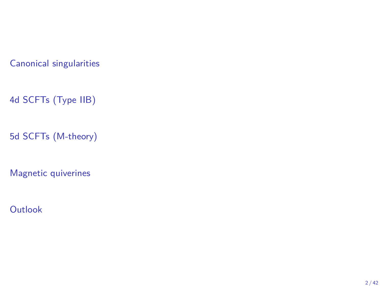[4d SCFTs \(Type IIB\)](#page-15-0)

[5d SCFTs \(M-theory\)](#page-29-0)

[Magnetic quiverines](#page-34-0)

**[Outlook](#page-40-0)**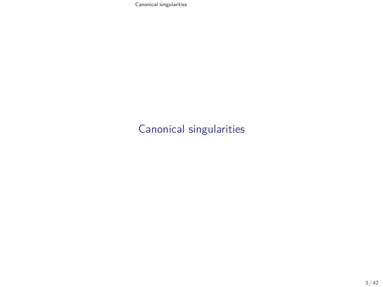## <span id="page-2-0"></span>[Canonical singularities](#page-2-0)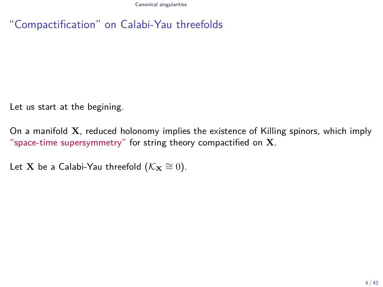"Compactification" on Calabi-Yau threefolds

Let us start at the begining.

On a manifold **X**, reduced holonomy implies the existence of Killing spinors, which imply "space-time supersymmetry" for string theory compactified on **X**.

Let **X** be a Calabi-Yau threefold ( $\mathcal{K}_{\mathbf{X}} \cong 0$ ).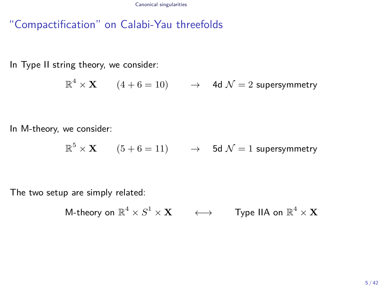"Compactification" on Calabi-Yau threefolds

In Type II string theory, we consider:

 $\mathbb{R}^4 \times \mathbf{X} \qquad (4+6=10) \qquad \rightarrow \quad$  4d  $\mathcal{N}=2$  supersymmetry

In M-theory, we consider:

 $\mathbb{R}^5 \times \mathbf{X} \qquad (5 + 6 = 11) \qquad \rightarrow \quad$  5d  $\mathcal{N} = 1$  supersymmetry

The two setup are simply related:

 $\operatorname{\mathsf{M-theory}}$  on  $\mathbb{R}^4 \times S^1 \times \mathbf{X} \quad \quad \longleftrightarrow \quad \quad \textsf{Type IIA on } \mathbb{R}^4 \times \mathbf{X}$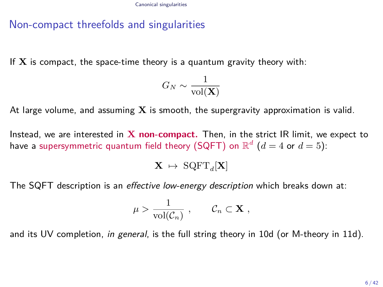### Non-compact threefolds and singularities

If **X** is compact, the space-time theory is a quantum gravity theory with:

$$
G_N \sim \frac{1}{\text{vol}(\mathbf{X})}
$$

At large volume, and assuming **X** is smooth, the supergravity approximation is valid.

Instead, we are interested in **X non-compact.** Then, in the strict IR limit, we expect to have a supersymmetric quantum field theory (SQFT) on  $\mathbb{R}^d$   $(d=4$  or  $d=5)$ :

 $\mathbf{X} \ \mapsto \ \mathrm{SQFT}_d[\mathbf{X}]$ 

The SQFT description is an effective low-energy description which breaks down at:

$$
\mu > \frac{1}{\text{vol}(\mathcal{C}_n)}, \qquad \mathcal{C}_n \subset \mathbf{X},
$$

and its UV completion, in general, is the full string theory in 10d (or M-theory in 11d).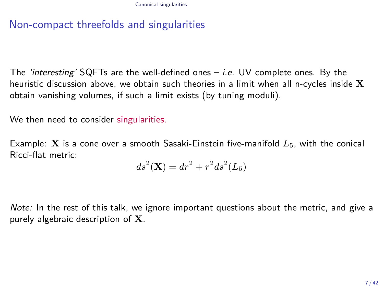### Non-compact threefolds and singularities

The 'interesting' SQFTs are the well-defined ones  $-$  *i.e.* UV complete ones. By the heuristic discussion above, we obtain such theories in a limit when all n-cycles inside **X** obtain vanishing volumes, if such a limit exists (by tuning moduli).

We then need to consider singularities.

Example: **X** is a cone over a smooth Sasaki-Einstein five-manifold  $L_5$ , with the conical Ricci-flat metric:

$$
ds2(X) = dr2 + r2 ds2(L5)
$$

Note: In the rest of this talk, we ignore important questions about the metric, and give a purely algebraic description of **X**.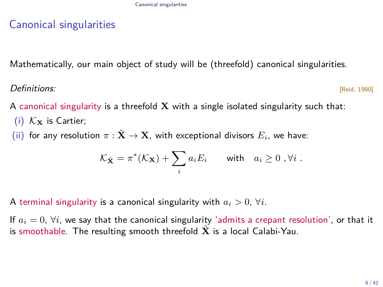Mathematically, our main object of study will be (threefold) canonical singularities.

### $\bm{Definitions:}$   $\bm{\mathsf{[Refinit}]}$

A canonical singularity is a threefold **X** with a single isolated singularity such that:

- (i)  $K_{\mathbf{X}}$  is Cartier;
- (ii) for any resolution  $\pi : \tilde{\mathbf{X}} \to \mathbf{X}$ , with exceptional divisors  $E_i$ , we have:

$$
\mathcal{K}_{\tilde{\mathbf{X}}} = \pi^*(\mathcal{K}_{\mathbf{X}}) + \sum_i a_i E_i \quad \text{with} \quad a_i \geq 0 \ , \forall i \ .
$$

A terminal singularity is a canonical singularity with  $a_i > 0$ ,  $\forall i$ .

If  $a_i = 0$ ,  $\forall i$ , we say that the canonical singularity 'admits a crepant resolution', or that it is smoothable. The resulting smooth threefold  $\bar{X}$  is a local Calabi-Yau.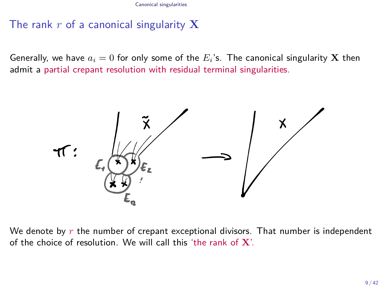### The rank *r* of a canonical singularity **X**

Generally, we have  $a_i = 0$  for only some of the  $E_i$ 's. The canonical singularity **X** then admit a partial crepant resolution with residual terminal singularities.



We denote by r the number of crepant exceptional divisors. That number is independent of the choice of resolution. We will call this 'the rank of **X**'.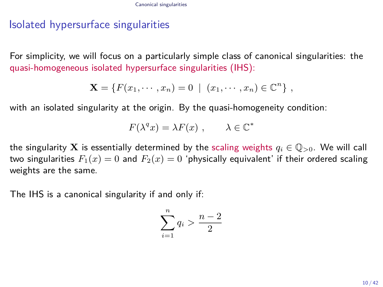### Isolated hypersurface singularities

For simplicity, we will focus on a particularly simple class of canonical singularities: the quasi-homogeneous isolated hypersurface singularities (IHS):

$$
\mathbf{X} = \{F(x_1, \cdots, x_n) = 0 \mid (x_1, \cdots, x_n) \in \mathbb{C}^n\},
$$

with an isolated singularity at the origin. By the quasi-homogeneity condition:

$$
F(\lambda^q x) = \lambda F(x) , \qquad \lambda \in \mathbb{C}^*
$$

the singularity **X** is essentially determined by the scaling weights  $q_i \in \mathbb{Q}_{>0}$ . We will call two singularities  $F_1(x) = 0$  and  $F_2(x) = 0$  'physically equivalent' if their ordered scaling weights are the same.

The IHS is a canonical singularity if and only if:

$$
\sum_{i=1}^{n} q_i > \frac{n-2}{2}
$$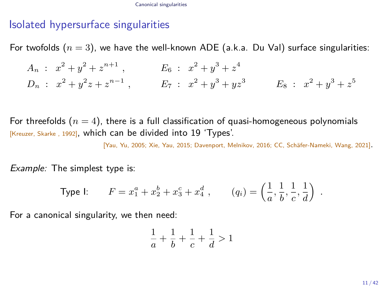### Isolated hypersurface singularities

For twofolds  $(n = 3)$ , we have the well-known ADE (a.k.a. Du Val) surface singularities:

 $A_n$  :  $x^2 + y^2 + z^{n+1}$ ,  $E_6$  :  $x^2 + y^3 + z^4$  $D_n$  :  $x^2 + y^2z + z^{n-1}$ ,  $E_7$  :  $x^2 + y^3 + yz^3$   $E_8$  :  $x^2 + y^3 + z^5$ 

For threefolds  $(n = 4)$ , there is a full classification of quasi-homogeneous polynomials [Kreuzer, Skarke , 1992], which can be divided into 19 'Types'.

[Yau, Yu, 2005; Xie, Yau, 2015; Davenport, Melnikov, 2016; CC, Schäfer-Nameki, Wang, 2021].

Example: The simplest type is:

Type I: 
$$
F = x_1^a + x_2^b + x_3^c + x_4^d
$$
,  $(q_i) = \left(\frac{1}{a}, \frac{1}{b}, \frac{1}{c}, \frac{1}{d}\right)$ .

For a canonical singularity, we then need:

$$
\frac{1}{a}+\frac{1}{b}+\frac{1}{c}+\frac{1}{d}>1
$$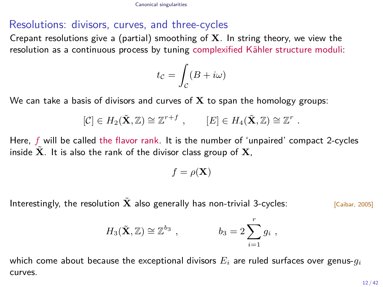### Resolutions: divisors, curves, and three-cycles

Crepant resolutions give a (partial) smoothing of **X**. In string theory, we view the resolution as a continuous process by tuning complexified Kähler structure moduli:

$$
t_{\mathcal{C}} = \int_{\mathcal{C}} (B + i\omega)
$$

We can take a basis of divisors and curves of **X** to span the homology groups:

$$
[\mathcal{C}] \in H_2(\tilde{\mathbf{X}}, \mathbb{Z}) \cong \mathbb{Z}^{r+f} , \qquad [E] \in H_4(\tilde{\mathbf{X}}, \mathbb{Z}) \cong \mathbb{Z}^r .
$$

Here, *f* will be called the flavor rank. It is the number of 'unpaired' compact 2-cycles inside  $\tilde{\mathbf{X}}$ . It is also the rank of the divisor class group of  $\mathbf{X}$ ,

$$
f = \rho(\mathbf{X})
$$

Interestingly, the resolution  $\tilde{\mathbf{X}}$  also generally has non-trivial 3-cycles:  $\begin{bmatrix} \text{Caibar, 2005} \end{bmatrix}$ 

$$
H_3(\tilde{\mathbf{X}}, \mathbb{Z}) \cong \mathbb{Z}^{b_3} , \qquad b_3 = 2 \sum_{i=1}^r g_i ,
$$

which come about because the exceptional divisors  $E_i$  are ruled surfaces over genus- $g_i$ curves.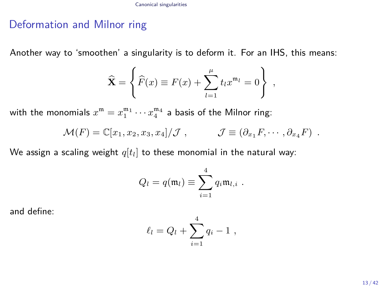### Deformation and Milnor ring

Another way to 'smoothen' a singularity is to deform it. For an IHS, this means:

$$
\widehat{\mathbf{X}} = \left\{ \widehat{F}(x) \equiv F(x) + \sum_{l=1}^{\mu} t_l x^{m_l} = 0 \right\},\,
$$

with the monomials  $x^{\mathfrak{m}} = x_1^{\mathfrak{m}_1} \cdots x_4^{\mathfrak{m}_4}$  a basis of the Milnor ring:

$$
\mathcal{M}(F) = \mathbb{C}[x_1, x_2, x_3, x_4]/\mathcal{J}, \qquad \mathcal{J} \equiv (\partial_{x_1} F, \cdots, \partial_{x_4} F) .
$$

We assign a scaling weight  $q[t_l]$  to these monomial in the natural way:

$$
Q_l = q(\mathfrak{m}_l) \equiv \sum_{i=1}^4 q_i \mathfrak{m}_{l,i} .
$$

and define:

$$
\ell_l = Q_l + \sum_{i=1}^4 q_i - 1 ,
$$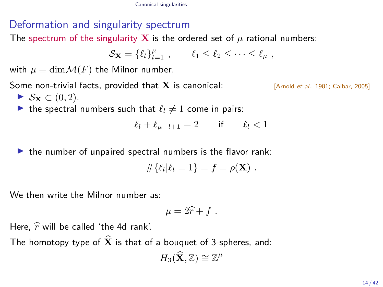### Deformation and singularity spectrum

The spectrum of the singularity **X** is the ordered set of  $\mu$  rational numbers:

$$
\mathcal{S}_{\mathbf{X}} = \{\ell_l\}_{l=1}^{\mu} , \qquad \ell_1 \leq \ell_2 \leq \cdots \leq \ell_{\mu} ,
$$

with  $\mu \equiv \dim \mathcal{M}(F)$  the Milnor number.

Some non-trivial facts, provided that **X** is canonical: [Arnold et al., 1981; Caibar, 2005]

- $\triangleright$  S<sub>X</sub> ∈ (0, 2).
- In the spectral numbers such that  $\ell_l \neq 1$  come in pairs:

$$
\ell_l+\ell_{\mu-l+1}=2 \qquad \text{if} \qquad \ell_l<1
$$

 $\blacktriangleright$  the number of unpaired spectral numbers is the flavor rank:

$$
\#\{\ell_l|\ell_l=1\}=f=\rho(\mathbf{X})\ .
$$

We then write the Milnor number as:

$$
\mu = 2\widehat{r} + f \; .
$$

Here,  $\hat{r}$  will be called 'the 4d rank'.

The homotopy type of  $\widehat{\mathbf{X}}$  is that of a bouquet of 3-spheres, and:

$$
H_3(\widehat{\mathbf{X}},\mathbb{Z})\cong \mathbb{Z}^\mu
$$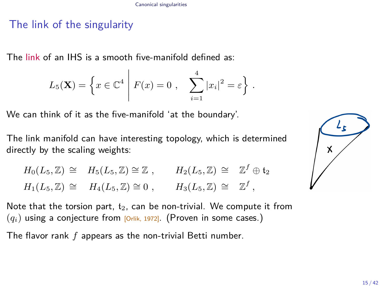### The link of the singularity

The link of an IHS is a smooth five-manifold defined as:

$$
L_5(\mathbf{X}) = \left\{ x \in \mathbb{C}^4 \middle| F(x) = 0, \sum_{i=1}^4 |x_i|^2 = \varepsilon \right\}.
$$

We can think of it as the five-manifold 'at the boundary'.

The link manifold can have interesting topology, which is determined directly by the scaling weights:

 $H_0(L_5, \mathbb{Z}) \cong H_5(L_5, \mathbb{Z}) \cong \mathbb{Z}$ ,  $H_2(L_5, \mathbb{Z}) \cong \mathbb{Z}^f \oplus \mathfrak{t}_2$  $H_1(L_5, \mathbb{Z}) \cong H_4(L_5, \mathbb{Z}) \cong 0$ ,  $H_3(L_5, \mathbb{Z}) \cong \mathbb{Z}^f$ ,

Note that the torsion part,  $t_2$ , can be non-trivial. We compute it from  $(q_i)$  using a conjecture from  $[Q_i]$  (Proven in some cases.)

The flavor rank *f* appears as the non-trivial Betti number.

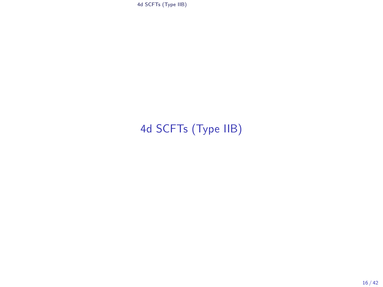# <span id="page-15-0"></span>[4d SCFTs \(Type IIB\)](#page-15-0)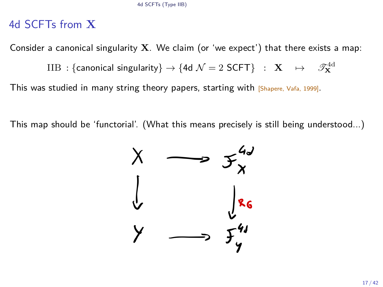### 4d SCFTs from **X**

Consider a canonical singularity **X**. We claim (or 'we expect') that there exists a map:

 $\text{IIB :} \left\{ \text{canonical singularity} \right\} \rightarrow \left\{ \text{4d } \mathcal{N} = 2 \text{ SCFT} \right\} \;\; : \;\; \mathbf{X} \quad \mapsto \quad \mathscr{T}^{\text{4d}}_{\mathbf{X}}$ 

This was studied in many string theory papers, starting with [Shapere, Vafa, 1999].

This map should be 'functorial'. (What this means precisely is still being understood...)

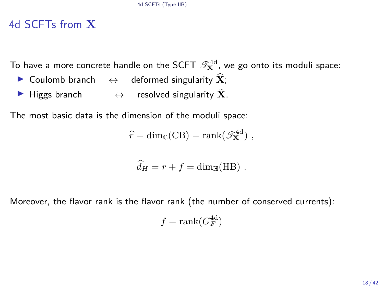### 4d SCFTs from **X**

To have a more concrete handle on the SCFT  $\mathscr{T}^{4\mathrm{d}}_\mathbf{X}$ , we go onto its moduli space:

- ▶ Coulomb branch  $\leftrightarrow$  deformed singularity  $\hat{\mathbf{X}}$ ;
- $\triangleright$  Higgs branch  $\leftrightarrow$  resolved singularity  $\tilde{\mathbf{X}}$ .

The most basic data is the dimension of the moduli space:

$$
\widehat{r} = \dim_{\mathbb{C}}(\mathbf{CB}) = \operatorname{rank}(\mathscr{T}_{\mathbf{X}}^{\mathrm{4d}}),
$$

$$
\widehat{d}_H = r + f = \dim_{\mathbb{H}}(HB) .
$$

Moreover, the flavor rank is the flavor rank (the number of conserved currents):

$$
f = \text{rank}(G_F^{\text{4d}})
$$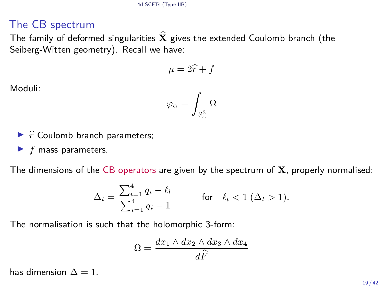### The CB spectrum

The family of deformed singularities  $\widehat{\mathbf{X}}$  gives the extended Coulomb branch (the Seiberg-Witten geometry). Recall we have:

$$
\mu = 2\widehat{r} + f
$$

Moduli:

$$
\varphi_{\alpha} = \int_{S^3_{\alpha}} \Omega
$$

- $\triangleright$   $\hat{r}$  Coulomb branch parameters;
- $\blacktriangleright$  *f* mass parameters.

The dimensions of the CB operators are given by the spectrum of **X**, properly normalised:

$$
\Delta_l = \frac{\sum_{i=1}^4 q_i - \ell_l}{\sum_{i=1}^4 q_i - 1}
$$
 for  $\ell_l < 1 \ (\Delta_l > 1).$ 

The normalisation is such that the holomorphic 3-form:

$$
\Omega = \frac{dx_1 \wedge dx_2 \wedge dx_3 \wedge dx_4}{d\widehat{F}}
$$

has dimension  $\Delta = 1$ .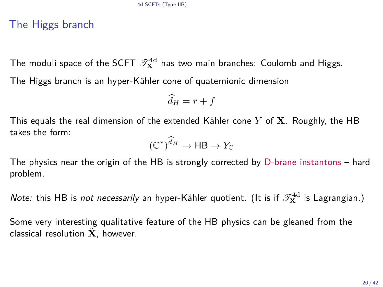### The Higgs branch

The moduli space of the SCFT  $\mathscr{T}^{4d}_{\mathbf{X}}$  has two main branches: Coulomb and Higgs. The Higgs branch is an hyper-Kähler cone of quaternionic dimension

$$
\widehat{d}_H = r + f
$$

This equals the real dimension of the extended Kähler cone *Y* of **X**. Roughly, the HB takes the form:

$$
(\mathbb{C}^*)^{\widehat{d}_H} \to \mathsf{HB} \to Y_{\mathbb{C}}
$$

The physics near the origin of the HB is strongly corrected by D-brane instantons – hard problem.

*Note:* this HB is *not necessarily* an hyper-Kähler quotient. (It is if  $\mathscr{T}^{4d}_{\mathbf{X}}$  is Lagrangian.)

Some very interesting qualitative feature of the HB physics can be gleaned from the classical resolution  $\tilde{\mathbf{X}}$ , however.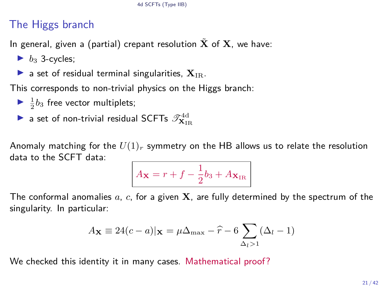### The Higgs branch

In general, given a (partial) crepant resolution  $X$  of  $X$ , we have:

- $\blacktriangleright$  *b*<sub>3</sub> 3-cycles;
- a set of residual terminal singularities,  $X_{IR}$ .

This corresponds to non-trivial physics on the Higgs branch:

- $\blacktriangleright$   $\frac{1}{2}b_3$  free vector multiplets;
- $\blacktriangleright$  a set of non-trivial residual SCFTs  $\mathscr{T}^{\text{4d}}_{\mathbf{X}_{\text{IR}}}$

Anomaly matching for the  $U(1)_r$  symmetry on the HB allows us to relate the resolution data to the SCFT data:

$$
A_{\mathbf{X}}=r+f-\frac{1}{2}b_3+A_{\mathbf{X}_{\rm IR}}
$$

The conformal anomalies *a*, *c*, for a given **X**, are fully determined by the spectrum of the singularity. In particular:

$$
A_{\mathbf{X}} \equiv 24(c-a)|_{\mathbf{X}} = \mu \Delta_{\max} - \widehat{r} - 6 \sum_{\Delta_l > 1} (\Delta_l - 1)
$$

We checked this identity it in many cases. Mathematical proof?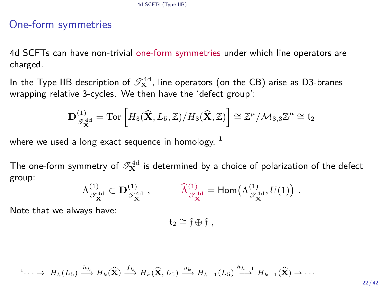### One-form symmetries

4d SCFTs can have non-trivial one-form symmetries under which line operators are charged.

In the Type IIB description of  $\mathscr{T}^{\rm 4d}_{\mathbf{X}}$ , line operators (on the CB) arise as D3-branes wrapping relative 3-cycles. We then have the 'defect group':

$$
\mathbf{D}^{(1)}_{\mathscr{T}_{\mathbf{X}}^{4d}} = \mathrm{Tor}\left[ H_3(\widehat{\mathbf{X}}, L_5, \mathbb{Z})/H_3(\widehat{\mathbf{X}}, \mathbb{Z}) \right] \cong \mathbb{Z}^{\mu}/\mathcal{M}_{3,3}\mathbb{Z}^{\mu} \cong \mathfrak{t}_2
$$

where we used a long exact sequence in homology.  $1$ 

The one-form symmetry of  $\mathscr{T}^{4\mathrm{d}}_\mathbf{X}$  is determined by a choice of polarization of the defect group:

$$
\Lambda_{\mathscr{T}_{\mathbf{X}}^{4d}}^{(1)} \subset \mathbf{D}_{\mathscr{T}_{\mathbf{X}}^{4d}}^{(1)}\ , \hspace{1cm} \widehat{\Lambda}_{\mathscr{T}_{\mathbf{X}}^{4d}}^{(1)} = \mathsf{Hom} \big( \Lambda_{\mathscr{T}_{\mathbf{X}}^{4d}}^{(1)}, U(1) \big) \ .
$$

Note that we always have:

t<sup>2</sup> ∼= f ⊕ f *,*

 ${}^{1} \cdots \rightarrow H_{k}(L_{5}) \xrightarrow{h_{k}} H_{k}(\widehat{\mathbf{X}}) \xrightarrow{f_{k}} H_{k}(\widehat{\mathbf{X}}, L_{5}) \xrightarrow{g_{k}} H_{k-1}(L_{5}) \xrightarrow{h_{k-1}} H_{k-1}(\widehat{\mathbf{X}}) \rightarrow \cdots$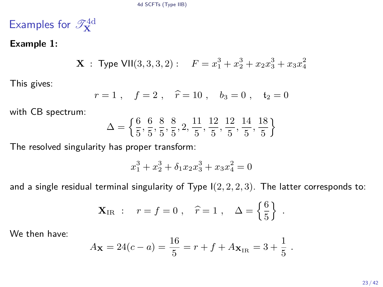# Examples for  $\mathscr{T}_{\mathbf{X}}^{4d}$

### **Example 1:**

**X**: Type VII
$$
(3,3,3,2):
$$
  $F = x_1^3 + x_2^3 + x_2x_3^3 + x_3x_4^2$ 

This gives:

$$
r=1
$$
,  $f=2$ ,  $\hat{r}=10$ ,  $b_3=0$ ,  $t_2=0$ 

with CB spectrum:

$$
\Delta = \left\{ \frac{6}{5}, \frac{6}{5}, \frac{8}{5}, \frac{8}{5}, 2, \frac{11}{5}, \frac{12}{5}, \frac{12}{5}, \frac{14}{5}, \frac{18}{5} \right\}
$$

The resolved singularity has proper transform:

$$
x_1^3 + x_2^3 + \delta_1 x_2 x_3^3 + x_3 x_4^2 = 0
$$

and a single residual terminal singularity of Type I(2*,* 2*,* 2*,* 3). The latter corresponds to:

$$
\mathbf{X}_{\text{IR}}:
$$
  $r = f = 0$ ,  $\hat{r} = 1$ ,  $\Delta = \left\{\frac{6}{5}\right\}$ .

We then have:

$$
A_{\mathbf{X}} = 24(c - a) = \frac{16}{5} = r + f + A_{\mathbf{X}_{IR}} = 3 + \frac{1}{5}.
$$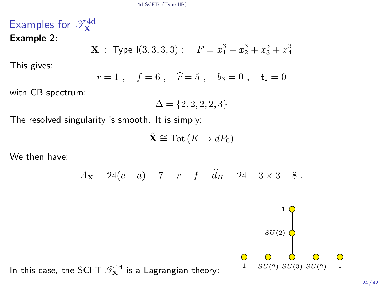# Examples for  $\mathscr{T}_{\mathbf{X}}^{4d}$

**Example 2:**

**X**: Type I(3,3,3,3): 
$$
F = x_1^3 + x_2^3 + x_3^3 + x_4^3
$$

This gives:

$$
r=1
$$
,  $f=6$ ,  $\hat{r}=5$ ,  $b_3=0$ ,  $t_2=0$ 

with CB spectrum:

$$
\Delta=\{2,2,2,2,3\}
$$

The resolved singularity is smooth. It is simply:

$$
\tilde{\mathbf{X}} \cong \text{Tot}(K \to dP_6)
$$

We then have:

$$
A_{\mathbf{X}} = 24(c - a) = 7 = r + f = \hat{d}_H = 24 - 3 \times 3 - 8.
$$

 $SU(2)$   $\bigcirc$ 1

In this case, the SCFT  $\mathscr{T}_{\mathbf{X}}^{4d}$  is a Lagrangian theory:  $1 - SU(2) SU(3) SU(2) - 1$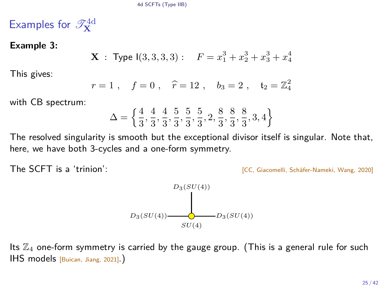# Examples for  $\mathscr{T}_{\mathbf{X}}^{4d}$

### **Example 3:**

**X**: Type I(3, 3, 3, 3): 
$$
F = x_1^3 + x_2^3 + x_3^3 + x_4^4
$$

This gives:

$$
r=1
$$
,  $f=0$ ,  $\hat{r}=12$ ,  $b_3=2$ ,  $t_2=\mathbb{Z}_4^2$ 

with CB spectrum:

$$
\Delta = \left\{ \frac{4}{3}, \frac{4}{3}, \frac{4}{3}, \frac{5}{3}, \frac{5}{3}, \frac{5}{3}, 2, \frac{8}{3}, \frac{8}{3}, \frac{8}{3}, 3, 4 \right\}
$$

The resolved singularity is smooth but the exceptional divisor itself is singular. Note that, here, we have both 3-cycles and a one-form symmetry.

The SCFT is a 'trinion': The SCFT is a 'trinion': Get a strategy and the strategy of  $\overline{CC}$ , Giacomelli, Schäfer-Nameki, Wang, 2020]



Its  $\mathbb{Z}_4$  one-form symmetry is carried by the gauge group. (This is a general rule for such IHS models [Buican, Jiang, 2021].)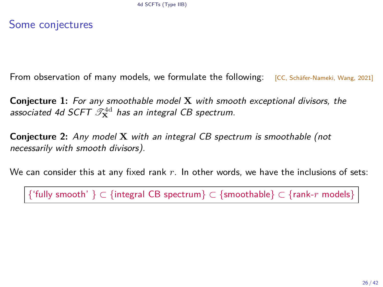### Some conjectures

From observation of many models, we formulate the following: [CC, Schäfer-Nameki, Wang, 2021]

**Conjecture 1:** For any smoothable model **X** with smooth exceptional divisors, the associated 4d SCFT  $\mathscr{T}^{4d}_{\mathbf{X}}$  has an integral CB spectrum.

**Conjecture 2:** Any model **X** with an integral CB spectrum is smoothable (not necessarily with smooth divisors).

We can consider this at any fixed rank *r*. In other words, we have the inclusions of sets:

{'fully smooth' } ⊂ {integral CB spectrum} ⊂ {smoothable} ⊂ {rank-*r* models}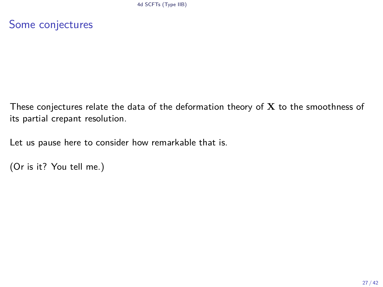Some conjectures

These conjectures relate the data of the deformation theory of **X** to the smoothness of its partial crepant resolution.

Let us pause here to consider how remarkable that is.

```
(Or is it? You tell me.)
```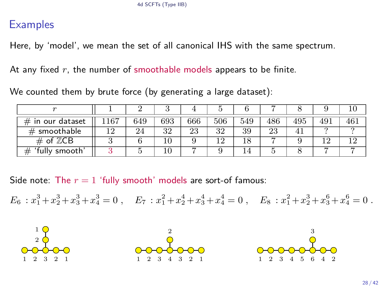### **Examples**

Here, by 'model', we mean the set of all canonical IHS with the same spectrum.

At any fixed *r*, the number of smoothable models appears to be finite.

We counted them by brute force (by generating a large dataset):

| $_{\rm \#}$<br>in our dataset | 167 | 649 | 693 | 666 | 506 | 549 | 486 | 495 | 491 |     |
|-------------------------------|-----|-----|-----|-----|-----|-----|-----|-----|-----|-----|
| $#$ smoothable                | 0 ו | 24  | 32  | 23  | 32  | 39  | 23  |     |     |     |
| # of $\mathbb{Z}$ CB          |     |     | 10  |     | റ   |     |     |     | 1 ດ | 1 ດ |
| 'fully smooth'                |     |     | 10  |     |     |     |     |     |     |     |

Side note: The  $r = 1$  'fully smooth' models are sort-of famous:

 $E_6: x_1^3 + x_2^3 + x_3^3 + x_4^3 = 0$ ,  $E_7: x_1^2 + x_2^4 + x_3^4 + x_4^4 = 0$ ,  $E_8: x_1^2 + x_2^3 + x_3^6 + x_4^6 = 0$ .





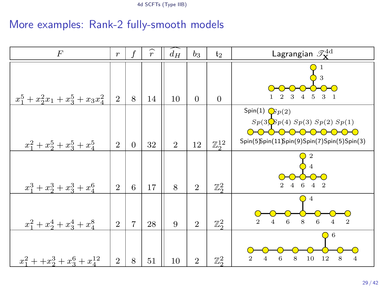### More examples: Rank-2 fully-smooth models

| $\overline{F}$                        | $\boldsymbol{r}$ | f              | $\widehat{r}$ | $\widehat{d_H}$ | $b_3$          | t <sub>2</sub>      | Lagrangian $\mathscr{T}^{\text{4d}}_{\mathbf{x}}$                                                                                                  |  |  |
|---------------------------------------|------------------|----------------|---------------|-----------------|----------------|---------------------|----------------------------------------------------------------------------------------------------------------------------------------------------|--|--|
| $x_1^5 + x_2^2x_1 + x_3^5 + x_3x_4^2$ | $\overline{2}$   | 8              | 14            | 10              | $\theta$       | $\Omega$            | 3<br>3 <sub>1</sub><br>3<br>$\overline{5}$<br>2                                                                                                    |  |  |
| $x_1^2 + x_2^5 + x_3^5 + x_4^5$       | $\overline{2}$   | $\Omega$       | 32            | $\overline{2}$  | 12             | $\mathbb{Z}_2^{12}$ | Spin(1) $\mathbb{G}p(2)$<br>$Sp(3)Sp(4)$ $Sp(3)$ $Sp(2)$ $Sp(1)$<br><del>0-0-0-0-0-0-0-0-0-</del> 0<br>Spin(5)Spin(11)Spin(9)Spin(7)Spin(5)Spin(3) |  |  |
| $x_1^3 + x_2^3 + x_3^3 + x_4^6$       | $\overline{2}$   | 6              | 17            | 8               | $\overline{2}$ | $\mathbb{Z}_2^2$    | $\mathcal{D}$                                                                                                                                      |  |  |
| $x_1^2 + x_2^4 + x_3^4 + x_4^8$       | $\overline{2}$   | $\overline{7}$ | 28            | 9               | $\overline{2}$ | $\mathbb{Z}_2^2$    | 4<br>$\mathbf{2}$<br>8<br>6<br>6<br>4<br>4                                                                                                         |  |  |
| $x_1^2 + x_2^3 + x_3^6 + x_4^{12}$    | $\overline{2}$   | 8              | 51            | 10              | $\overline{2}$ | $\mathbb{Z}_2^2$    | 6<br>$\overline{2}$<br>6<br>8<br>10<br>12<br>8<br>4<br>4                                                                                           |  |  |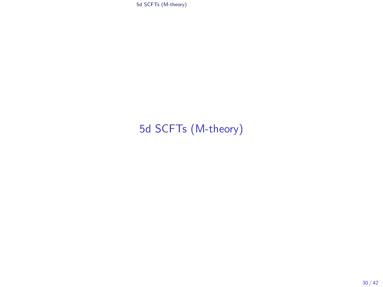<span id="page-29-0"></span>[5d SCFTs \(M-theory\)](#page-29-0)

## [5d SCFTs \(M-theory\)](#page-29-0)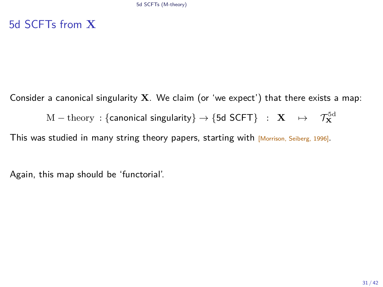### 5d SCFTs from **X**

Consider a canonical singularity **X**. We claim (or 'we expect') that there exists a map:

 $\mathrm{M}-\mathrm{theory}\,:\{\textsf{canonical singularity}\}\rightarrow\{\textsf{5d SCFT}\}\;\;\colon\;\mathbf{X}\quad\mapsto\quad\mathcal{T}^{\text{5d}}_{\mathbf{X}}$ 

This was studied in many string theory papers, starting with [Morrison, Seiberg, 1996].

Again, this map should be 'functorial'.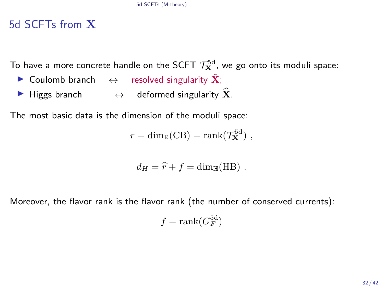### 5d SCFTs from **X**

To have a more concrete handle on the SCFT  $\mathcal{T}^{5d}_\mathbf{X}$ , we go onto its moduli space:

- **►** Coulomb branch  $\leftrightarrow$  resolved singularity  $\tilde{\mathbf{X}}$ ;
- **►** Higgs branch  $\leftrightarrow$  deformed singularity  $\hat{\mathbf{X}}$ .

The most basic data is the dimension of the moduli space:

$$
r = \dim_{\mathbb{R}}(CB) = \operatorname{rank}(\mathcal{T}_{\mathbf{X}}^{5d}),
$$

$$
d_H = \hat{r} + f = \dim_{\mathbb{H}}(HB) .
$$

Moreover, the flavor rank is the flavor rank (the number of conserved currents):

$$
f = \operatorname{rank}(G_F^{\text{5d}})
$$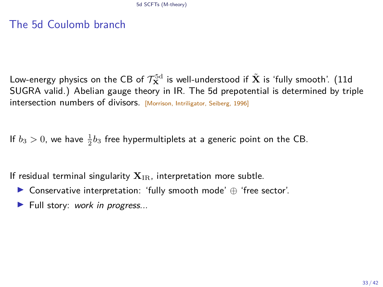### The 5d Coulomb branch

Low-energy physics on the CB of  $\mathcal{T}^{5d}_{\mathbf{X}}$  is well-understood if  $\tilde{\mathbf{X}}$  is 'fully smooth'. (11d SUGRA valid.) Abelian gauge theory in IR. The 5d prepotential is determined by triple intersection numbers of divisors. [Morrison, Intriligator, Seiberg, 1996]

If  $b_3 > 0$ , we have  $\frac{1}{2}b_3$  free hypermultiplets at a generic point on the CB.

If residual terminal singularity  $X_{IR}$ , interpretation more subtle.

- I Conservative interpretation: 'fully smooth mode' ⊕ 'free sector'.
- $\blacktriangleright$  Full story: work in progress...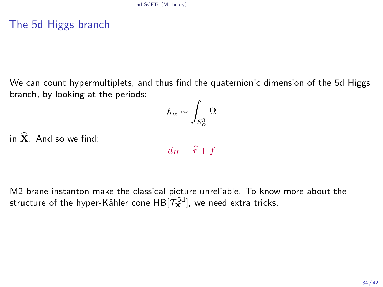### The 5d Higgs branch

We can count hypermultiplets, and thus find the quaternionic dimension of the 5d Higgs branch, by looking at the periods:

$$
h_\alpha \sim \int_{S^3_\alpha} \Omega
$$

in  $\hat{\mathbf{X}}$  And so we find:

 $d_H = \hat{r} + f$ 

M2-brane instanton make the classical picture unreliable. To know more about the structure of the hyper-Kähler cone  $\mathsf{HB}[\mathcal{T}^{\rm 5d}_\mathbf{X}]$ , we need extra tricks.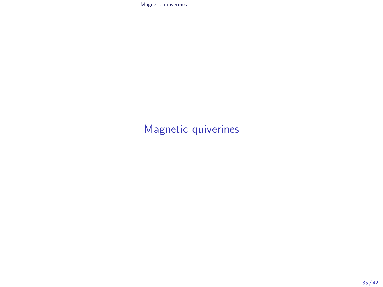## <span id="page-34-0"></span>[Magnetic quiverines](#page-34-0)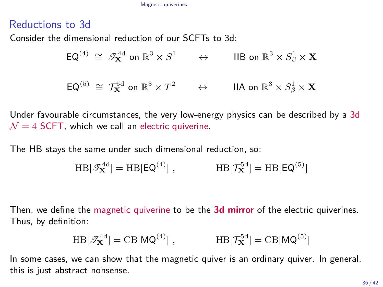### Reductions to 3d

Consider the dimensional reduction of our SCFTs to 3d:

$$
\mathsf{EQ}^{(4)} \cong \mathscr{T}_{\mathbf{X}}^{\mathrm{4d}} \text{ on } \mathbb{R}^3 \times S^1 \qquad \leftrightarrow \qquad \text{IIB on } \mathbb{R}^3 \times S^1_\beta \times \mathbf{X}
$$
  

$$
\mathsf{EQ}^{(5)} \cong \mathcal{T}_{\mathbf{X}}^{5d} \text{ on } \mathbb{R}^3 \times T^2 \qquad \leftrightarrow \qquad \text{IIA on } \mathbb{R}^3 \times S^1_\beta \times \mathbf{X}
$$

Under favourable circumstances, the very low-energy physics can be described by a 3d  $\mathcal{N} = 4$  SCFT, which we call an electric quiverine.

The HB stays the same under such dimensional reduction, so:

$$
HB[\mathscr{T}_{\mathbf{X}}^{\text{4d}}] = HB[EQ^{(4)}], \qquad \qquad HB[\mathcal{T}_{\mathbf{X}}^{\text{5d}}] = HB[EQ^{(5)}]
$$

Then, we define the magnetic quiverine to be the **3d mirror** of the electric quiverines. Thus, by definition:

$$
HB[\mathscr{T}_{\mathbf{X}}^{4d}] = CB[MQ^{(4)}], \qquad \qquad HB[\mathcal{T}_{\mathbf{X}}^{5d}] = CB[MQ^{(5)}]
$$

In some cases, we can show that the magnetic quiver is an ordinary quiver. In general, this is just abstract nonsense.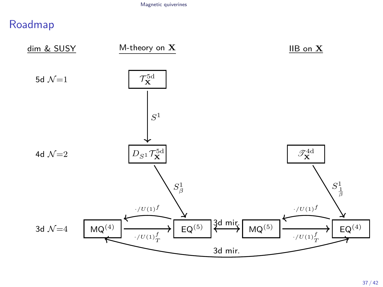### Roadmap

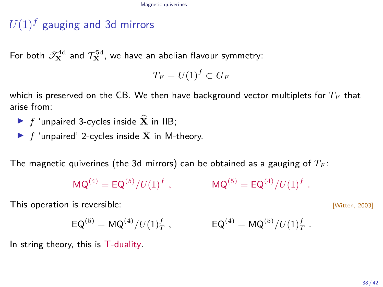## $U(1)^f$  gauging and 3d mirrors

For both  $\mathscr{T}^{\text{4d}}_{\mathbf{X}}$  and  $\mathcal{T}^{\text{5d}}_{\mathbf{X}}$ , we have an abelian flavour symmetry:

 $T_F = U(1)^f \subset G_F$ 

which is preserved on the CB. We then have background vector multiplets for *T<sup>F</sup>* that arise from:

- **F** *f* 'unpaired 3-cycles inside  $\widehat{\mathbf{X}}$  in IIB;
- **F** 'unpaired' 2-cycles inside  $\tilde{\mathbf{X}}$  in M-theory.

The magnetic quiverines (the 3d mirrors) can be obtained as a gauging of *T<sup>F</sup>* :

 $MO^{(4)} = EO^{(5)}/U(1)^f$ .  $,$   $MQ^{(5)} = EQ^{(4)}/U(1)^f$ .

This operation is reversible:  $\frac{1}{2}$  [Witten, 2003]

$$
{\sf EQ}^{(5)} = {\sf MQ}^{(4)}/U(1)_T^f\ ,\qquad\qquad {\sf EQ}^{(4)} = {\sf MQ}^{(5)}/U(1)_T^f\ .
$$

In string theory, this is T-duality.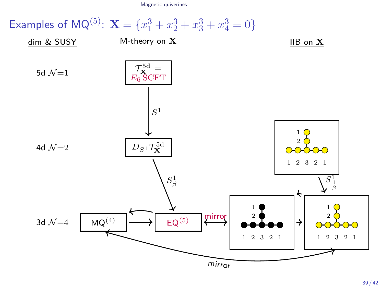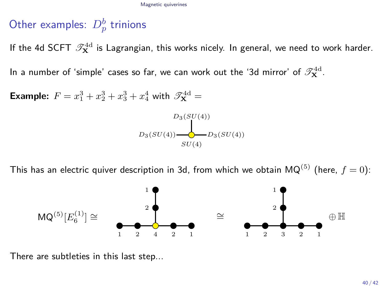# Other examples:  $D_p^b$  trinions

If the 4d SCFT  $\mathscr{T}^{\rm 4d}_{\mathbf{X}}$  is Lagrangian, this works nicely. In general, we need to work harder.

In a number of 'simple' cases so far, we can work out the '3d mirror' of  $\mathscr{T}^{\text{4d}}_{\mathbf{X}}$ .

**Example:**  $F = x_1^3 + x_2^3 + x_3^3 + x_4^4$  with  $\mathscr{T}_{\mathbf{X}}^{\text{4d}} =$ 



This has an electric quiver description in 3d, from which we obtain  $MQ^{(5)}$  (here,  $f = 0$ ):



There are subtleties in this last step...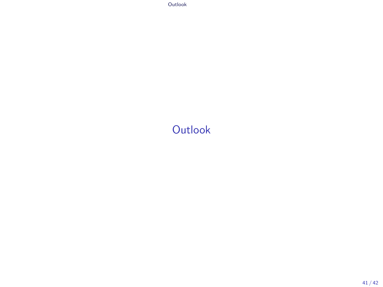<span id="page-40-0"></span>[Outlook](#page-40-0)

## **[Outlook](#page-40-0)**